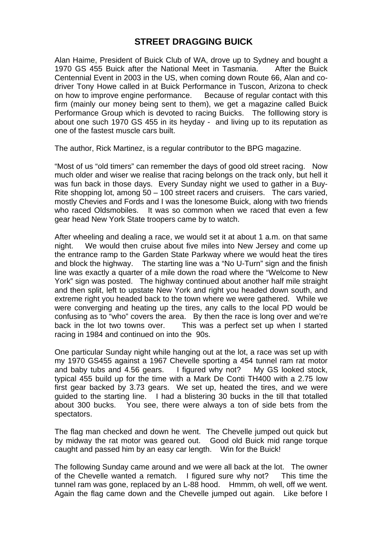## **STREET DRAGGING BUICK**

Alan Haime, President of Buick Club of WA, drove up to Sydney and bought a 1970 GS 455 Buick after the National Meet in Tasmania. After the Buick Centennial Event in 2003 in the US, when coming down Route 66, Alan and codriver Tony Howe called in at Buick Performance in Tuscon, Arizona to check on how to improve engine performance. Because of regular contact with this firm (mainly our money being sent to them), we get a magazine called Buick Performance Group which is devoted to racing Buicks. The folllowing story is about one such 1970 GS 455 in its heyday - and living up to its reputation as one of the fastest muscle cars built.

The author, Rick Martinez, is a regular contributor to the BPG magazine.

"Most of us "old timers" can remember the days of good old street racing. Now much older and wiser we realise that racing belongs on the track only, but hell it was fun back in those days. Every Sunday night we used to gather in a Buy-Rite shopping lot, among 50 – 100 street racers and cruisers. The cars varied, mostly Chevies and Fords and I was the lonesome Buick, along with two friends who raced Oldsmobiles. It was so common when we raced that even a few gear head New York State troopers came by to watch.

After wheeling and dealing a race, we would set it at about 1 a.m. on that same night. We would then cruise about five miles into New Jersey and come up the entrance ramp to the Garden State Parkway where we would heat the tires and block the highway. The starting line was a "No U-Turn" sign and the finish line was exactly a quarter of a mile down the road where the "Welcome to New York" sign was posted. The highway continued about another half mile straight and then split, left to upstate New York and right you headed down south, and extreme right you headed back to the town where we were gathered. While we were converging and heating up the tires, any calls to the local PD would be confusing as to "who" covers the area. By then the race is long over and we're back in the lot two towns over. This was a perfect set up when I started racing in 1984 and continued on into the 90s.

One particular Sunday night while hanging out at the lot, a race was set up with my 1970 GS455 against a 1967 Chevelle sporting a 454 tunnel ram rat motor and baby tubs and 4.56 gears. I figured why not? My GS looked stock. typical 455 build up for the time with a Mark De Conti TH400 with a 2.75 low first gear backed by 3.73 gears. We set up, heated the tires, and we were guided to the starting line. I had a blistering 30 bucks in the till that totalled about 300 bucks. You see, there were always a ton of side bets from the spectators.

The flag man checked and down he went. The Chevelle jumped out quick but by midway the rat motor was geared out. Good old Buick mid range torque caught and passed him by an easy car length. Win for the Buick!

The following Sunday came around and we were all back at the lot. The owner of the Chevelle wanted a rematch. I figured sure why not? This time the tunnel ram was gone, replaced by an L-88 hood. Hmmm, oh well, off we went. Again the flag came down and the Chevelle jumped out again. Like before I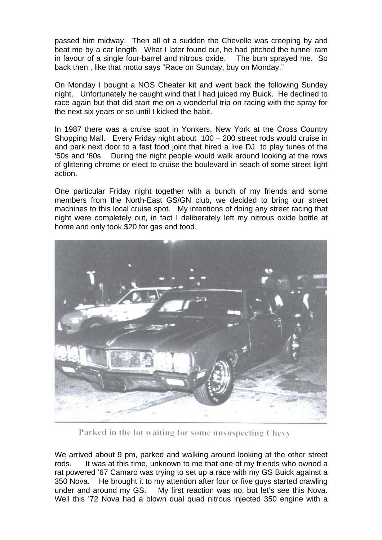passed him midway. Then all of a sudden the Chevelle was creeping by and beat me by a car length. What I later found out, he had pitched the tunnel ram in favour of a single four-barrel and nitrous oxide. The bum sprayed me. So back then , like that motto says "Race on Sunday, buy on Monday."

On Monday I bought a NOS Cheater kit and went back the following Sunday night. Unfortunately he caught wind that I had juiced my Buick. He declined to race again but that did start me on a wonderful trip on racing with the spray for the next six years or so until I kicked the habit.

In 1987 there was a cruise spot in Yonkers, New York at the Cross Country Shopping Mall. Every Friday night about 100 – 200 street rods would cruise in and park next door to a fast food joint that hired a live DJ to play tunes of the '50s and '60s. During the night people would walk around looking at the rows of glittering chrome or elect to cruise the boulevard in seach of some street light action.

One particular Friday night together with a bunch of my friends and some members from the North-East GS/GN club, we decided to bring our street machines to this local cruise spot. My intentions of doing any street racing that night were completely out, in fact I deliberately left my nitrous oxide bottle at home and only took \$20 for gas and food.



Parked in the lot waiting for some unsuspecting Chevy

We arrived about 9 pm, parked and walking around looking at the other street rods. It was at this time, unknown to me that one of my friends who owned a rat powered '67 Camaro was trying to set up a race with my GS Buick against a 350 Nova. He brought it to my attention after four or five guys started crawling under and around my GS. My first reaction was no, but let's see this Nova. Well this '72 Nova had a blown dual quad nitrous injected 350 engine with a